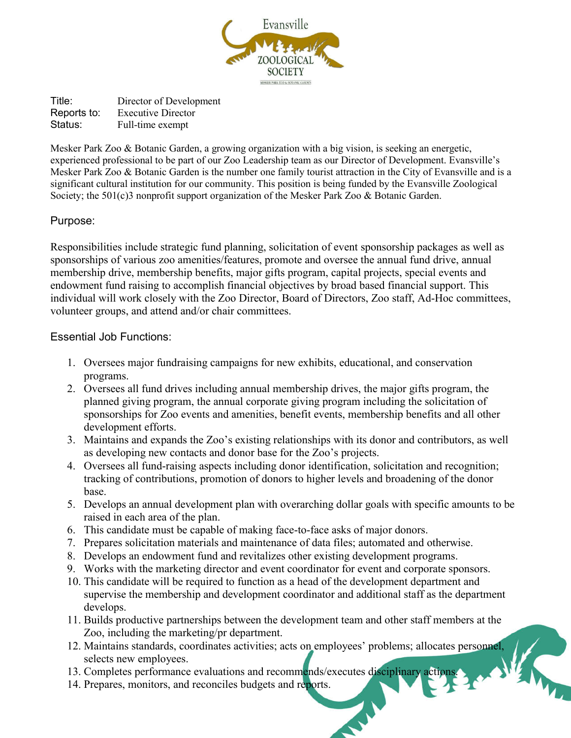

Title: Director of Development Reports to: Executive Director Status: Full-time exempt

Mesker Park Zoo & Botanic Garden, a growing organization with a big vision, is seeking an energetic, experienced professional to be part of our Zoo Leadership team as our Director of Development. Evansville's Mesker Park Zoo & Botanic Garden is the number one family tourist attraction in the City of Evansville and is a significant cultural institution for our community. This position is being funded by the Evansville Zoological Society; the 501(c)3 nonprofit support organization of the Mesker Park Zoo & Botanic Garden.

# Purpose:

Responsibilities include strategic fund planning, solicitation of event sponsorship packages as well as sponsorships of various zoo amenities/features, promote and oversee the annual fund drive, annual membership drive, membership benefits, major gifts program, capital projects, special events and endowment fund raising to accomplish financial objectives by broad based financial support. This individual will work closely with the Zoo Director, Board of Directors, Zoo staff, Ad-Hoc committees, volunteer groups, and attend and/or chair committees.

# Essential Job Functions:

- 1. Oversees major fundraising campaigns for new exhibits, educational, and conservation programs.
- 2. Oversees all fund drives including annual membership drives, the major gifts program, the planned giving program, the annual corporate giving program including the solicitation of sponsorships for Zoo events and amenities, benefit events, membership benefits and all other development efforts.
- 3. Maintains and expands the Zoo's existing relationships with its donor and contributors, as well as developing new contacts and donor base for the Zoo's projects.
- 4. Oversees all fund-raising aspects including donor identification, solicitation and recognition; tracking of contributions, promotion of donors to higher levels and broadening of the donor base.
- 5. Develops an annual development plan with overarching dollar goals with specific amounts to be raised in each area of the plan.
- 6. This candidate must be capable of making face-to-face asks of major donors.
- 7. Prepares solicitation materials and maintenance of data files; automated and otherwise.
- 8. Develops an endowment fund and revitalizes other existing development programs.
- 9. Works with the marketing director and event coordinator for event and corporate sponsors.
- 10. This candidate will be required to function as a head of the development department and supervise the membership and development coordinator and additional staff as the department develops.
- 11. Builds productive partnerships between the development team and other staff members at the Zoo, including the marketing/pr department.
- 12. Maintains standards, coordinates activities; acts on employees' problems; allocates personnel, selects new employees.
- 13. Completes performance evaluations and recommends/executes disciplinary actions.
- 14. Prepares, monitors, and reconciles budgets and reports.